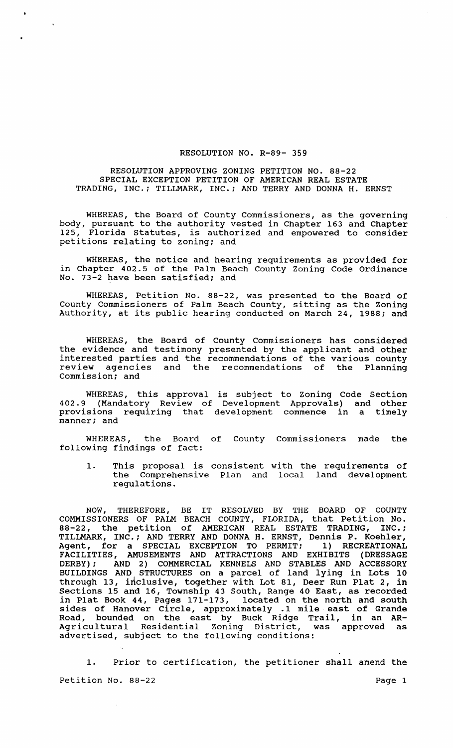## RESOLUTION NO. R-89- 359

## RESOLUTION APPROVING ZONING PETITION NO. 88-22 SPECIAL EXCEPTION PETITION OF AMERICAN REAL ESTATE TRADING, INC.; TILLMARK, INC.; AND TERRY AND DONNA H. ERNST

WHEREAS, the Board of County Commissioners, as the governing body, pursuant to the authority vested in Chapter 163 and Chapter 125, Florida Statutes, is authorized and empowered to consider petitions relating to zoning; and

WHEREAS, the notice and hearing requirements as provided for in Chapter 402.5 of the Palm Beach County Zoning Code Ordinance No. 73-2 have been satisfied; and

WHEREAS, Petition No. 88-22, was presented to the Board of County Commissioners of Palm Beach County, sitting as the Zoning Authority, at its public hearing conducted on March 24, 1988; and

WHEREAS, the Board of County Commissioners has considered the evidence and testimony presented by the applicant and other interested parties and the recommendations of the various county review agencies and the recommendations of the Planning Commission; and

WHEREAS, this approval is subject to Zoning Code Section 402.9 (Mandatory Review of Development Approvals) and other provisions requiring that development commence in a timely manner; and

WHEREAS, the Board of County Commissioners made the following findings of fact:

1. This proposal is consistent with the requirements of the Comprehensive Plan and local land development regulations.

NOW, THEREFORE, BE IT RESOLVED BY THE BOARD OF COUNTY COMMISSIONERS OF PALM BEACH COUNTY, FLORIDA, that Petition No. 88-22, the petition of AMERICAN REAL ESTATE TRADING, INC.; TILLMARK, INC.; AND TERRY AND DONNA H. ERNST, Dennis P. Koehler, Agent, for a SPECIAL EXCEPTION TO PERMIT; 1) RECREATIONAL FACILITIES, AMUSEMENTS AND ATTRACTIONS AND EXHIBITS (DRESSAGE DERBY) ; AND 2) COMMERCIAL KENNELS AND STABLES AND ACCESSORY BUILDINGS AND STRUCTURES on a parcel of land lying in Lots 10 through 13, inclusive, together with Lot 81, Deer Run Plat 2, in Sections 15 and 16, Township 43 South, Range 40 East, as recorded in Plat Book 44, Pages 171-173, located on the north and south sides of Hanover Circle, approximately .1 mile east of Grande Road, bounded on the east by Buck Ridge Trail, in an AR-Agricultural Residential Zoning District, was approved as advertised, subject to the following conditions:

1. Prior to certification, the petitioner shall amend the Petition No. 88-22 Page 1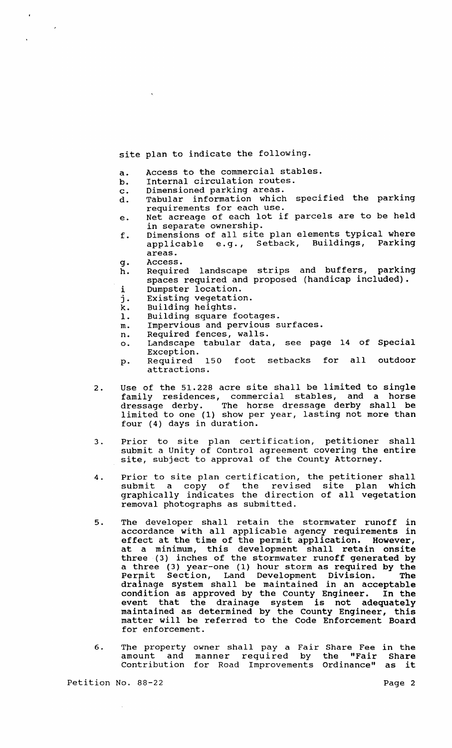site plan to indicate the following.

- a. Access to the commercial stables.
- b. Internal circulation routes.
- c. Dimensioned parking areas.
- Tabular information which specified the parking requirements for each use.
- e. Net acreage of each lot if parcels are to be held in separate ownership.
- f. Dimensions of all site plan elements typical where applicable e.g., Setback, Buildings, Parking areas.
	-

 $\lambda$ 

- g. Access.<br>h. Require Required landscape strips and buffers, parking spaces required and proposed (handicap included).
- i Dumpster location.
- j. Existing vegetation.
- j. Existing vegetati<br>k. Building heights.<br>l. Building square f
- 1. Building square footages.
- m. Impervious and pervious surfaces.
- n. Required fences, walls.
- o. Landscape tabular data, see page 14 of Special Exception.<br>Required
- p. Required 150 foot setbacks for all outdoor attractions.
- 2. Use of the 51.228 acre site shall be limited to single family residences, commercial stables, and a horse dressage derby. The horse dressage derby shall be limited to one (1) show per year, lasting not more than four (4) days in duration.
- 3. Prior to site plan certification, petitioner shall submit a Unity of Control agreement covering the entire site, subject to approval of the County Attorney.
- 4. Prior to site plan certification, the petitioner shall submit a copy of the revised site plan which graphically indicates the direction of all vegetation removal photographs as submitted.
- 5. The developer shall retain the stormwater runoff in accordance with all applicable agency requirements in effect at the time of the permit application. However, at a minimum, this development shall retain onsite three (3) inches of the stormwater runoff generated by a three (3) year-one (1) hour storm as required by the Permit Section, Land Development Division. The drainage system shall be maintained in an acceptable condition as approved by the County Engineer. In the event that the drainage system is not adequately maintained as determined by the County Engineer, this matter will be referred to the Code Enforcement Board for enforcement.
- 6. The property owner shall pay a Fair Share Fee in the amount and manner required by the "Fair Share contribution for Road Improvements Ordinance" as it

Petition No. 88-22 Page 2